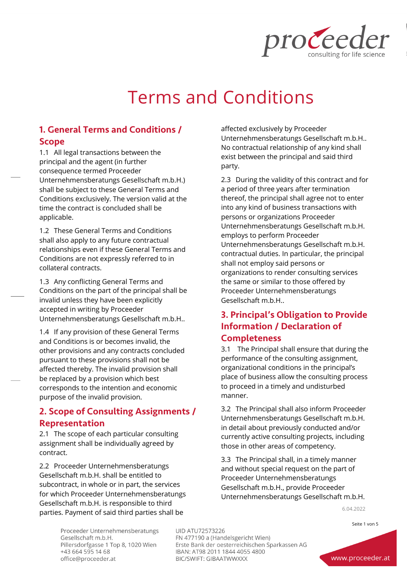

# Terms and Conditions

# 1. General Terms and Conditions / Scope

1.1 All legal transactions between the principal and the agent (in further consequence termed Proceeder Unternehmensberatungs Gesellschaft m.b.H.) shall be subject to these General Terms and Conditions exclusively. The version valid at the time the contract is concluded shall be applicable.

1.2 These General Terms and Conditions shall also apply to any future contractual relationships even if these General Terms and Conditions are not expressly referred to in collateral contracts.

1.3 Any conflicting General Terms and Conditions on the part of the principal shall be invalid unless they have been explicitly accepted in writing by Proceeder Unternehmensberatungs Gesellschaft m.b.H..

1.4 If any provision of these General Terms and Conditions is or becomes invalid, the other provisions and any contracts concluded pursuant to these provisions shall not be affected thereby. The invalid provision shall be replaced by a provision which best corresponds to the intention and economic purpose of the invalid provision.

# 2. Scope of Consulting Assignments / Representation

2.1 The scope of each particular consulting assignment shall be individually agreed by contract.

2.2 Proceeder Unternehmensberatungs Gesellschaft m.b.H. shall be entitled to subcontract, in whole or in part, the services for which Proceeder Unternehmensberatungs Gesellschaft m.b.H. is responsible to third parties. Payment of said third parties shall be

affected exclusively by Proceeder Unternehmensberatungs Gesellschaft m.b.H.. No contractual relationship of any kind shall exist between the principal and said third party.

2.3 During the validity of this contract and for a period of three years after termination thereof, the principal shall agree not to enter into any kind of business transactions with persons or organizations Proceeder Unternehmensberatungs Gesellschaft m.b.H. employs to perform Proceeder Unternehmensberatungs Gesellschaft m.b.H. contractual duties. In particular, the principal shall not employ said persons or organizations to render consulting services the same or similar to those offered by Proceeder Unternehmensberatungs Gesellschaft m.b.H..

# 3. Principal's Obligation to Provide Information / Declaration of Completeness

3.1 The Principal shall ensure that during the performance of the consulting assignment, organizational conditions in the principal's place of business allow the consulting process to proceed in a timely and undisturbed manner.

3.2 The Principal shall also inform Proceeder Unternehmensberatungs Gesellschaft m.b.H. in detail about previously conducted and/or currently active consulting projects, including those in other areas of competency.

3.3 The Principal shall, in a timely manner and without special request on the part of Proceeder Unternehmensberatungs Gesellschaft m.b.H., provide Proceeder Unternehmensberatungs Gesellschaft m.b.H.

6.04.2022

Proceeder Unternehmensberatungs Gesellschaft m.b.H. Pillersdorfgasse 1 Top 8, 1020 Wien +43 664 595 14 68 office@proceeder.at

**UID ATU72573226** FN 477190 a (Handelsgericht Wien) Erste Bank der oesterreichischen Sparkassen AG IBAN: AT98 2011 1844 4055 4800 BIC/SWIFT: GIBAATWWXXX

Seite 1 von 5

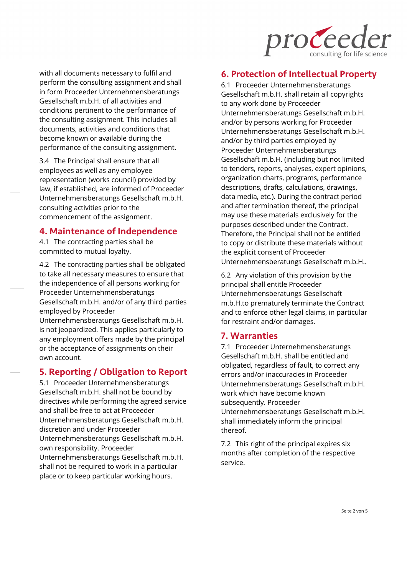

with all documents necessary to fulfil and perform the consulting assignment and shall in form Proceeder Unternehmensberatungs Gesellschaft m.b.H. of all activities and conditions pertinent to the performance of the consulting assignment. This includes all documents, activities and conditions that become known or available during the performance of the consulting assignment.

3.4 The Principal shall ensure that all employees as well as any employee representation (works council) provided by law, if established, are informed of Proceeder Unternehmensberatungs Gesellschaft m.b.H. consulting activities prior to the commencement of the assignment.

#### 4. Maintenance of Independence

4.1 The contracting parties shall be committed to mutual loyalty.

4.2 The contracting parties shall be obligated to take all necessary measures to ensure that the independence of all persons working for Proceeder Unternehmensberatungs Gesellschaft m.b.H. and/or of any third parties employed by Proceeder

Unternehmensberatungs Gesellschaft m.b.H. is not jeopardized. This applies particularly to any employment offers made by the principal or the acceptance of assignments on their own account.

#### 5. Reporting / Obligation to Report

5.1 Proceeder Unternehmensberatungs Gesellschaft m.b.H. shall not be bound by directives while performing the agreed service and shall be free to act at Proceeder Unternehmensberatungs Gesellschaft m.b.H. discretion and under Proceeder Unternehmensberatungs Gesellschaft m.b.H. own responsibility. Proceeder Unternehmensberatungs Gesellschaft m.b.H. shall not be required to work in a particular place or to keep particular working hours.

#### 6. Protection of Intellectual Property

6.1 Proceeder Unternehmensberatungs Gesellschaft m.b.H. shall retain all copyrights to any work done by Proceeder Unternehmensberatungs Gesellschaft m.b.H. and/or by persons working for Proceeder Unternehmensberatungs Gesellschaft m.b.H. and/or by third parties employed by Proceeder Unternehmensberatungs Gesellschaft m.b.H. (including but not limited to tenders, reports, analyses, expert opinions, organization charts, programs, performance descriptions, drafts, calculations, drawings, data media, etc.). During the contract period and after termination thereof, the principal may use these materials exclusively for the purposes described under the Contract. Therefore, the Principal shall not be entitled to copy or distribute these materials without the explicit consent of Proceeder Unternehmensberatungs Gesellschaft m.b.H..

6.2 Any violation of this provision by the principal shall entitle Proceeder Unternehmensberatungs Gesellschaft m.b.H.to prematurely terminate the Contract and to enforce other legal claims, in particular for restraint and/or damages.

#### 7. Warranties

7.1 Proceeder Unternehmensberatungs Gesellschaft m.b.H. shall be entitled and obligated, regardless of fault, to correct any errors and/or inaccuracies in Proceeder Unternehmensberatungs Gesellschaft m.b.H. work which have become known subsequently. Proceeder Unternehmensberatungs Gesellschaft m.b.H. shall immediately inform the principal thereof.

7.2 This right of the principal expires six months after completion of the respective service.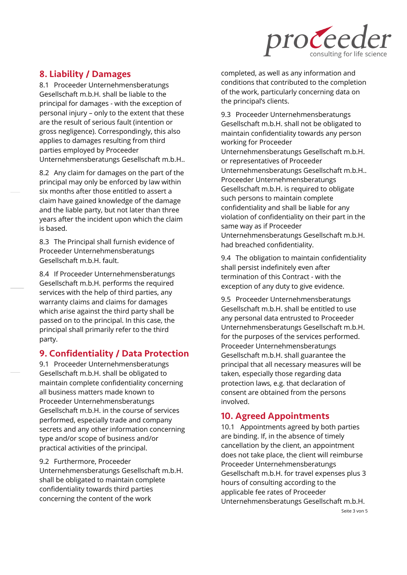

## 8. Liability / Damages

8.1 Proceeder Unternehmensberatungs Gesellschaft m.b.H. shall be liable to the principal for damages - with the exception of personal injury – only to the extent that these are the result of serious fault (intention or gross negligence). Correspondingly, this also applies to damages resulting from third parties employed by Proceeder Unternehmensberatungs Gesellschaft m.b.H..

8.2 Any claim for damages on the part of the principal may only be enforced by law within six months after those entitled to assert a claim have gained knowledge of the damage and the liable party, but not later than three years after the incident upon which the claim is based.

8.3 The Principal shall furnish evidence of Proceeder Unternehmensberatungs Gesellschaft m.b.H. fault.

8.4 If Proceeder Unternehmensberatungs Gesellschaft m.b.H. performs the required services with the help of third parties, any warranty claims and claims for damages which arise against the third party shall be passed on to the principal. In this case, the principal shall primarily refer to the third party.

## 9. Confidentiality / Data Protection

9.1 Proceeder Unternehmensberatungs Gesellschaft m.b.H. shall be obligated to maintain complete confidentiality concerning all business matters made known to Proceeder Unternehmensberatungs Gesellschaft m.b.H. in the course of services performed, especially trade and company secrets and any other information concerning type and/or scope of business and/or practical activities of the principal.

9.2 Furthermore, Proceeder Unternehmensberatungs Gesellschaft m.b.H. shall be obligated to maintain complete confidentiality towards third parties concerning the content of the work

completed, as well as any information and conditions that contributed to the completion of the work, particularly concerning data on the principal's clients.

9.3 Proceeder Unternehmensberatungs Gesellschaft m.b.H. shall not be obligated to maintain confidentiality towards any person working for Proceeder Unternehmensberatungs Gesellschaft m.b.H. or representatives of Proceeder Unternehmensberatungs Gesellschaft m.b.H.. Proceeder Unternehmensberatungs Gesellschaft m.b.H. is required to obligate such persons to maintain complete confidentiality and shall be liable for any violation of confidentiality on their part in the same way as if Proceeder Unternehmensberatungs Gesellschaft m.b.H. had breached confidentiality.

9.4 The obligation to maintain confidentiality shall persist indefinitely even after termination of this Contract - with the exception of any duty to give evidence.

9.5 Proceeder Unternehmensberatungs Gesellschaft m.b.H. shall be entitled to use any personal data entrusted to Proceeder Unternehmensberatungs Gesellschaft m.b.H. for the purposes of the services performed. Proceeder Unternehmensberatungs Gesellschaft m.b.H. shall guarantee the principal that all necessary measures will be taken, especially those regarding data protection laws, e.g. that declaration of consent are obtained from the persons involved.

# 10. Agreed Appointments

10.1 Appointments agreed by both parties are binding. If, in the absence of timely cancellation by the client, an appointment does not take place, the client will reimburse Proceeder Unternehmensberatungs Gesellschaft m.b.H. for travel expenses plus 3 hours of consulting according to the applicable fee rates of Proceeder Unternehmensberatungs Gesellschaft m.b.H.

Seite 3 von 5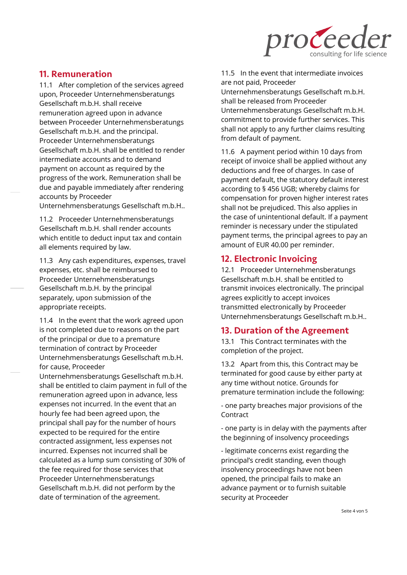

### 11. Remuneration

11.1 After completion of the services agreed upon, Proceeder Unternehmensberatungs Gesellschaft m.b.H. shall receive remuneration agreed upon in advance between Proceeder Unternehmensberatungs Gesellschaft m.b.H. and the principal. Proceeder Unternehmensberatungs Gesellschaft m.b.H. shall be entitled to render intermediate accounts and to demand payment on account as required by the progress of the work. Remuneration shall be due and payable immediately after rendering accounts by Proceeder

Unternehmensberatungs Gesellschaft m.b.H..

11.2 Proceeder Unternehmensberatungs Gesellschaft m.b.H. shall render accounts which entitle to deduct input tax and contain all elements required by law.

11.3 Any cash expenditures, expenses, travel expenses, etc. shall be reimbursed to Proceeder Unternehmensberatungs Gesellschaft m.b.H. by the principal separately, upon submission of the appropriate receipts.

11.4 In the event that the work agreed upon is not completed due to reasons on the part of the principal or due to a premature termination of contract by Proceeder Unternehmensberatungs Gesellschaft m.b.H. for cause, Proceeder

Unternehmensberatungs Gesellschaft m.b.H. shall be entitled to claim payment in full of the remuneration agreed upon in advance, less expenses not incurred. In the event that an hourly fee had been agreed upon, the principal shall pay for the number of hours expected to be required for the entire contracted assignment, less expenses not incurred. Expenses not incurred shall be calculated as a lump sum consisting of 30% of the fee required for those services that Proceeder Unternehmensberatungs Gesellschaft m.b.H. did not perform by the date of termination of the agreement.

11.5 In the event that intermediate invoices are not paid, Proceeder

Unternehmensberatungs Gesellschaft m.b.H. shall be released from Proceeder Unternehmensberatungs Gesellschaft m.b.H. commitment to provide further services. This shall not apply to any further claims resulting from default of payment.

11.6 A payment period within 10 days from receipt of invoice shall be applied without any deductions and free of charges. In case of payment default, the statutory default interest according to § 456 UGB; whereby claims for compensation for proven higher interest rates shall not be prejudiced. This also applies in the case of unintentional default. If a payment reminder is necessary under the stipulated payment terms, the principal agrees to pay an amount of EUR 40.00 per reminder.

## 12. Electronic Invoicing

12.1 Proceeder Unternehmensberatungs Gesellschaft m.b.H. shall be entitled to transmit invoices electronically. The principal agrees explicitly to accept invoices transmitted electronically by Proceeder Unternehmensberatungs Gesellschaft m.b.H..

## 13. Duration of the Agreement

13.1 This Contract terminates with the completion of the project.

13.2 Apart from this, this Contract may be terminated for good cause by either party at any time without notice. Grounds for premature termination include the following:

- one party breaches major provisions of the Contract

- one party is in delay with the payments after the beginning of insolvency proceedings

- legitimate concerns exist regarding the principal's credit standing, even though insolvency proceedings have not been opened, the principal fails to make an advance payment or to furnish suitable security at Proceeder